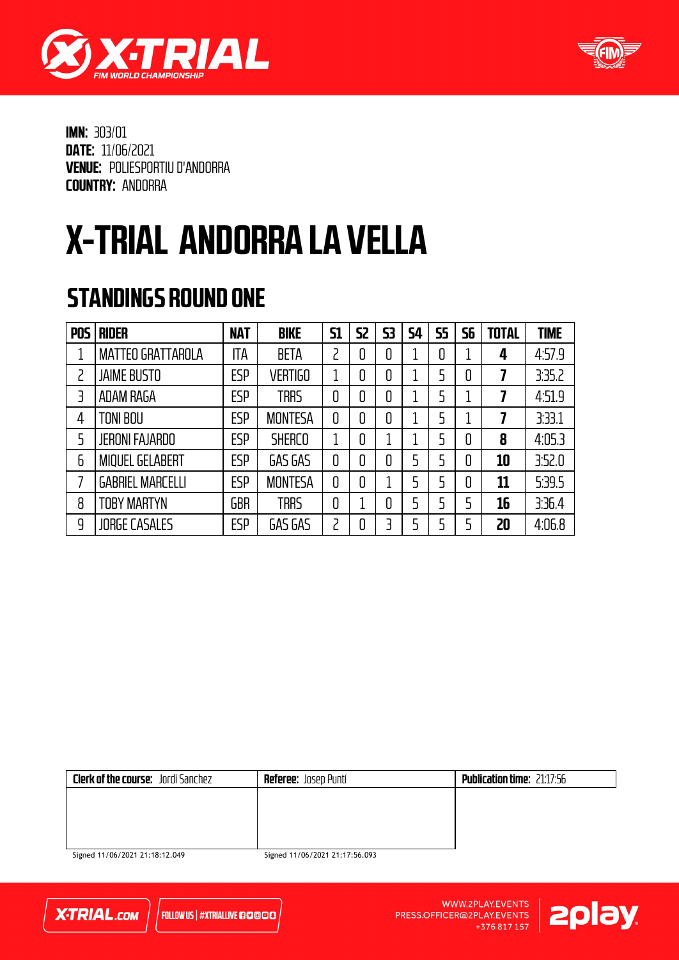



# X-TRIAL ANDORRA LA VELLA

### STANDINGS ROUND ONE

| <b>POS</b> | <b>RIDER</b>             | <b>NAT</b> | <b>BIKE</b>    | <b>S1</b> | S <sub>2</sub> | 53 | 54 | <b>S5</b> | 56 | <b>TOTAL</b> | <b>TIME</b> |
|------------|--------------------------|------------|----------------|-----------|----------------|----|----|-----------|----|--------------|-------------|
|            | <b>MATTEO GRATTAROLA</b> | ITA        | <b>BETA</b>    | 2         | 0              | 0  |    | 0         |    | 4            | 4:57.9      |
|            | <b>JAIME BUSTO</b>       | <b>ESP</b> | <b>VERTIGO</b> | 1         | 0              | 0  |    | 5         | 0  | 7            | 3:35.2      |
| 3          | ADAM RAGA                | <b>ESP</b> | <b>TRRS</b>    | 0         | 0              | 0  |    | 5         |    | 7            | 4:51.9      |
| 4          | TONI BOU                 | <b>ESP</b> | <b>MONTESA</b> | 0         | 0              | 0  |    | 5         |    | 7            | 3:33.1      |
| 5          | <b>JERONI FAJARDO</b>    | <b>ESP</b> | <b>SHERCO</b>  |           | 0              |    |    | 5         | 0  | 8            | 4:05.3      |
| 6          | <b>MIQUEL GELABERT</b>   | <b>ESP</b> | GAS GAS        | 0         | 0              | 0  | 5  | 5         | 0  | 10           | 3:52.0      |
|            | <b>GABRIEL MARCELLI</b>  | <b>ESP</b> | <b>MONTESA</b> | 0         | 0              |    | 5  | 5         | 0  | 11           | 5:39.5      |
| 8          | TOBY MARTYN              | <b>GBR</b> | <b>TRRS</b>    | 0         |                | 0  | 5  | 5         | 5  | 16           | 3:36.4      |
| 9          | <b>JORGE CASALES</b>     | <b>ESP</b> | GAS GAS        | 2         | 0              | 3  | 5  |           |    | 20           | 4:06.8      |

| <b>Clerk of the course:</b> Jordi Sanchez | <b>Referee:</b> Josep Puntí | <b>Publication time: 21:17:56</b> |
|-------------------------------------------|-----------------------------|-----------------------------------|
|                                           |                             |                                   |
|                                           |                             |                                   |
|                                           |                             |                                   |
|                                           |                             |                                   |

Signed 11/06/2021 21:18:12.049



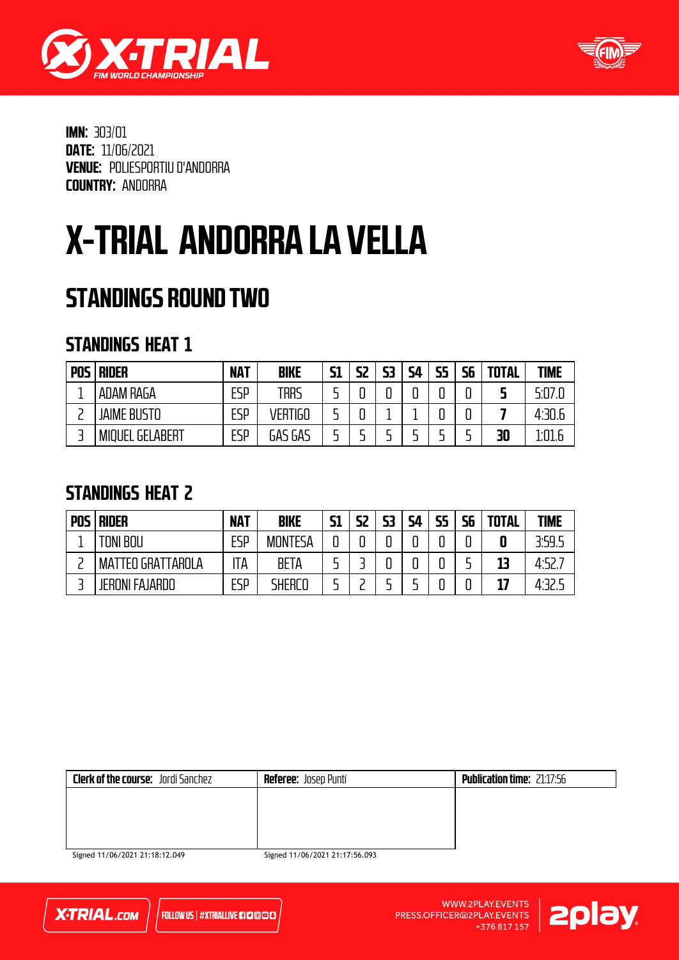



# X-TRIAL ANDORRA LA VELLA

### STANDINGS ROUND TWO

#### STANDINGS HEAT 1

| <b>POS</b> | <b>RIDER</b>           | <b>NAT</b> | <b>BIKE</b> | C1 | S2 | 53 | <b>S4</b> | <b>S5</b> | 56 | <b>TOTAL</b> | <b>TIME</b> |
|------------|------------------------|------------|-------------|----|----|----|-----------|-----------|----|--------------|-------------|
|            | ADAM RAGA              | <b>ESP</b> | TRRS        |    |    |    |           |           |    |              | 5:07.0      |
|            | <b>JAIME BUSTO</b>     | ESP        | VERTIGO     |    |    |    |           |           |    |              | 4:30.6      |
|            | <b>MIQUEL GELABERT</b> | ESP        | GAS GAS     |    |    |    |           |           |    | 30           | 1:01.6      |

#### STANDINGS HEAT 2

| POS I | <b>RIDER</b>             | <b>NAT</b> | <b>BIKE</b>    | <b>S1</b> | 52 | 53 | <b>S4</b> | <b>S5</b> | 56 | <b>TOTAL</b> | <b>TIME</b> |
|-------|--------------------------|------------|----------------|-----------|----|----|-----------|-----------|----|--------------|-------------|
|       | <b>TONI BOU</b>          | ESP        | <b>MONTESA</b> |           |    |    |           |           |    | 0            | 3:59.5      |
|       | <b>MATTEO GRATTAROLA</b> | ۱TA        | <b>BETA</b>    |           |    |    |           |           |    | 13           | 4:52.       |
|       | JERONI FAJARDO           | ESP        | Sherco         |           |    |    |           |           |    | 17           | 4:32.5      |

| <b>Clerk of the course:</b> Jordi Sanchez | <b>Referee:</b> Josep Puntí | <b>Publication time: 21:17:56</b> |
|-------------------------------------------|-----------------------------|-----------------------------------|
|                                           |                             |                                   |
|                                           |                             |                                   |
|                                           |                             |                                   |
| 0.4224441011001324363400                  | $C = 4410112034247551002$   |                                   |

Signed 11/06/2021 21:18:12.049



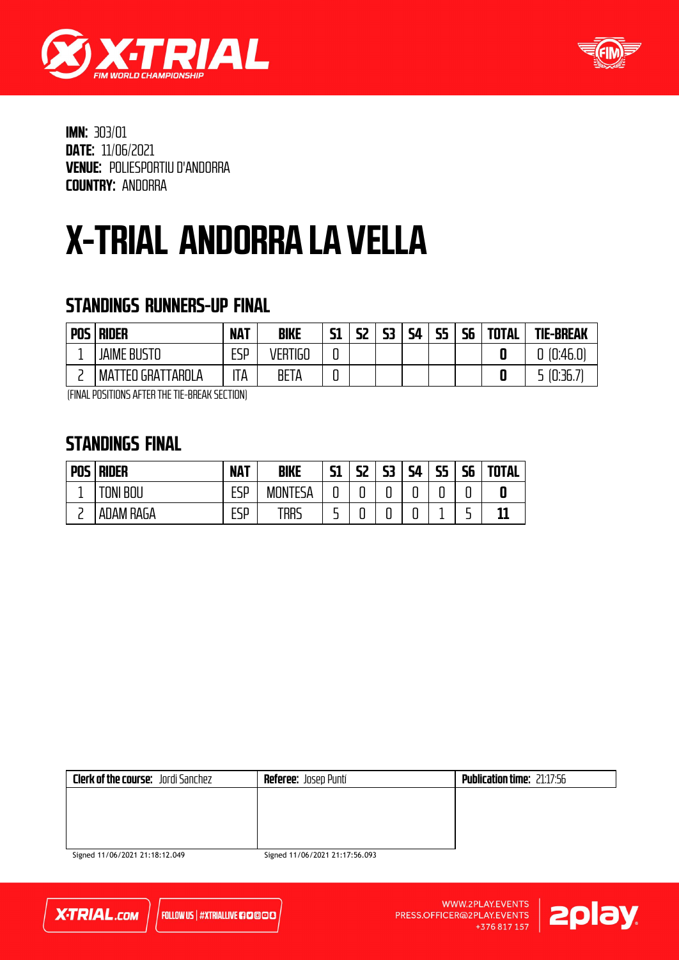



## X-TRIAL ANDORRA LA VELLA

#### STANDINGS RUNNERS-UP FINAL

| <b>POS</b> | <b>RIDER</b>               | <b>NAT</b> | <b>BIKE</b> | г1<br>וכ | 52<br>-- | 53<br>-- | ς, | <b>S5</b> | 56 | <b>TOTAL</b> | <b>TIE-BREAK</b> |
|------------|----------------------------|------------|-------------|----------|----------|----------|----|-----------|----|--------------|------------------|
|            | <b>JAIME BUSTO</b>         | ESP        | VERTIGO     | n<br>U   |          |          |    |           |    | O            | (0.46.0)<br>◡    |
| _          | TAROLA<br>МA<br>GRAT<br>ΈO | TA         | <b>BETA</b> | ◠<br>ັ   |          |          |    |           |    | O            | (0.36.)          |

(FINAL POSITIONS AFTER THE TIE-BREAK SECTION)

#### STANDINGS FINAL

| <b>POS</b> | <b>RIDER</b> | <b>NAT</b> | <b>BIKE</b>         | <b>C1</b><br>נכ | 52     | 53                       | ςд<br>┙╹ | 55<br>-- | <b>S6</b> | <b>TOTAL</b> |
|------------|--------------|------------|---------------------|-----------------|--------|--------------------------|----------|----------|-----------|--------------|
|            | BOU<br>tnni  | ESP        | 'TESA<br><b>MON</b> | n<br>u          | ◠<br>ບ | $\overline{\phantom{a}}$ | u        |          | u         | 0            |
|            | ADAM RAGA    | ESP        | trrs                | -               | ີ      |                          | ┍<br>u   |          | -<br>-    | -11          |

| Clerk of the course: Jordi Sanchez | <b>Referee:</b> Josep Puntí | <b>Publication time: 21:17:56</b> |
|------------------------------------|-----------------------------|-----------------------------------|
|                                    |                             |                                   |
|                                    |                             |                                   |
|                                    |                             |                                   |
|                                    |                             |                                   |

Signed 11/06/2021 21:18:12.049



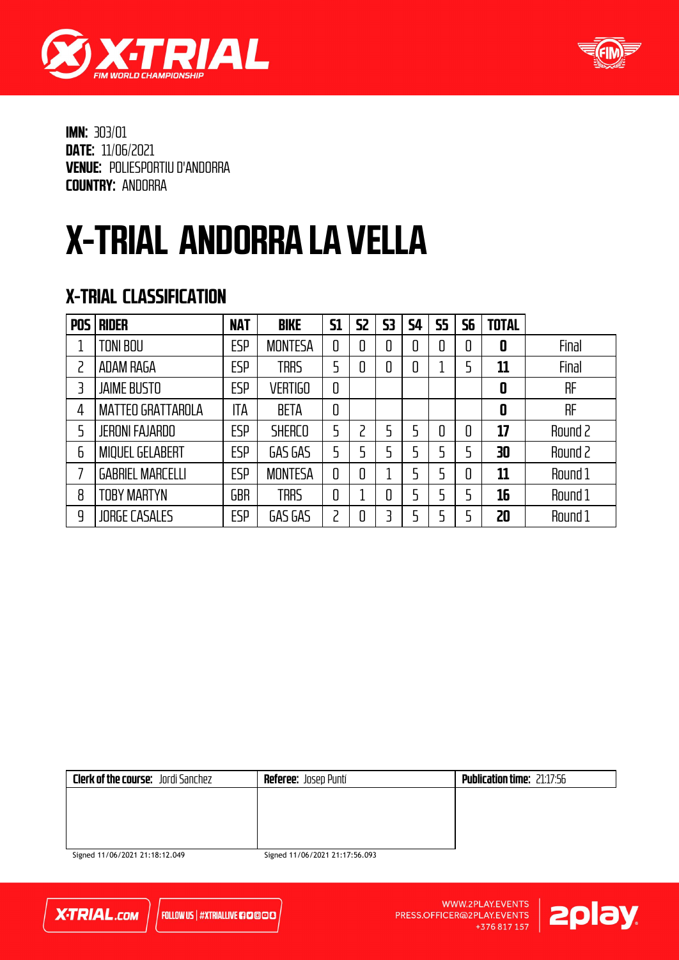



## X-TRIAL ANDORRA LA VELLA

#### X-TRIAL CLASSIFICATION

| <b>POS</b> | <b>RIDER</b>             | <b>NAT</b> | <b>BIKE</b>    | <b>S1</b> | 52 | 53 | 54 | <b>S5</b> | 56 | <b>TOTAL</b> |           |
|------------|--------------------------|------------|----------------|-----------|----|----|----|-----------|----|--------------|-----------|
|            | TONI BOU                 | <b>ESP</b> | <b>MONTESA</b> | 0         | 0  | 0  | 0  | 0         | 0  | 0            | Final     |
|            | ADAM RAGA                | <b>ESP</b> | <b>TRRS</b>    | 5         | 0  | 0  | 0  |           | 5  | 11           | Final     |
| 3          | <b>JAIME BUSTO</b>       | <b>ESP</b> | <b>VERTIGO</b> | 0         |    |    |    |           |    | 0            | <b>RF</b> |
| 4          | <b>MATTEO GRATTAROLA</b> | ITA        | <b>BETA</b>    | 0         |    |    |    |           |    | 0            | <b>RF</b> |
| 5          | <b>JERONI FAJARDO</b>    | <b>ESP</b> | <b>SHERCO</b>  | 5         | 2  | 5  |    | 0         | 0  | 17           | Round 2   |
| 6          | <b>MIQUEL GELABERT</b>   | <b>ESP</b> | GAS GAS        | 5         | 5  | 5  |    |           | 5  | 30           | Round 2   |
|            | <b>GABRIEL MARCELLI</b>  | <b>ESP</b> | <b>MONTESA</b> | 0         | 0  |    |    |           | 0  | 11           | Round 1   |
| 8          | TOBY MARTYN              | <b>GBR</b> | <b>TRRS</b>    | 0         | 1  | 0  |    | 5         | 5  | 16           | Round 1   |
| 9          | <b>JORGE CASALES</b>     | <b>ESP</b> | GAS GAS        | כ         | 0  | 3  |    |           | 5  | 20           | Round 1   |

| <b>Clerk of the course:</b> Jordi Sanchez | <b>Referee:</b> Josep Puntí | <b>Publication time: 21:17:56</b> |
|-------------------------------------------|-----------------------------|-----------------------------------|
|                                           |                             |                                   |
|                                           |                             |                                   |
|                                           |                             |                                   |
|                                           |                             |                                   |

Signed 11/06/2021 21:18:12.049